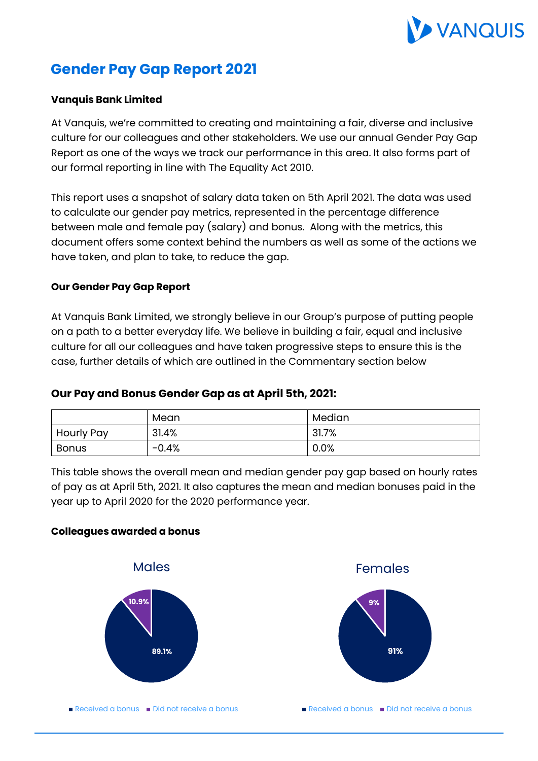

# **Gender Pay Gap Report 2021**

## **Vanquis Bank Limited**

At Vanquis, we're committed to creating and maintaining a fair, diverse and inclusive culture for our colleagues and other stakeholders. We use our annual Gender Pay Gap Report as one of the ways we track our performance in this area. It also forms part of our formal reporting in line with The Equality Act 2010.

This report uses a snapshot of salary data taken on 5th April 2021. The data was used to calculate our gender pay metrics, represented in the percentage difference between male and female pay (salary) and bonus. Along with the metrics, this document offers some context behind the numbers as well as some of the actions we have taken, and plan to take, to reduce the gap.

### **Our Gender Pay Gap Report**

At Vanquis Bank Limited, we strongly believe in our Group's purpose of putting people on a path to a better everyday life. We believe in building a fair, equal and inclusive culture for all our colleagues and have taken progressive steps to ensure this is the case, further details of which are outlined in the Commentary section below

# **Our Pay and Bonus Gender Gap as at April 5th, 2021:**

|                   | Mean    | Median |
|-------------------|---------|--------|
| <b>Hourly Pay</b> | 31.4%   | 31.7%  |
| Bonus             | $-0.4%$ | 0.0%   |

This table shows the overall mean and median gender pay gap based on hourly rates of pay as at April 5th, 2021. It also captures the mean and median bonuses paid in the year up to April 2020 for the 2020 performance year.

#### **Colleagues awarded a bonus**



Females



Received a bonus  $\Box$  Did not receive a bonus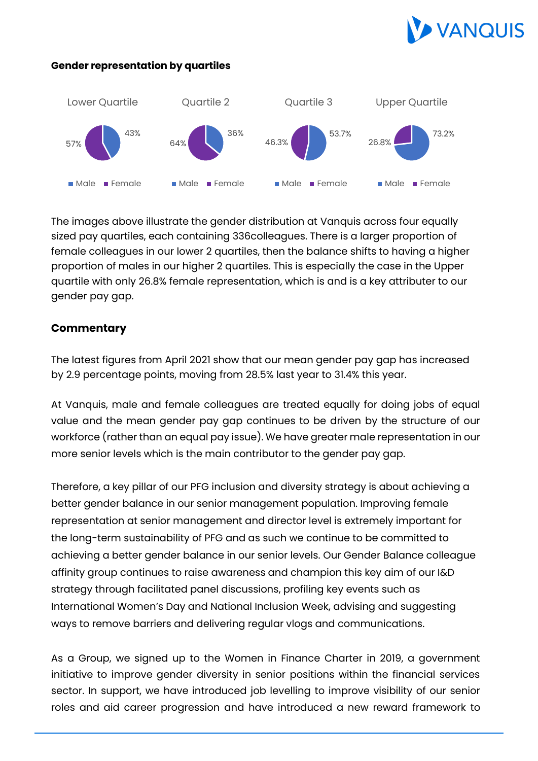

### **Gender representation by quartiles**



The images above illustrate the gender distribution at Vanquis across four equally sized pay quartiles, each containing 336colleagues. There is a larger proportion of female colleagues in our lower 2 quartiles, then the balance shifts to having a higher proportion of males in our higher 2 quartiles. This is especially the case in the Upper quartile with only 26.8% female representation, which is and is a key attributer to our gender pay gap.

# **Commentary**

The latest figures from April 2021 show that our mean gender pay gap has increased by 2.9 percentage points, moving from 28.5% last year to 31.4% this year.

At Vanquis, male and female colleagues are treated equally for doing jobs of equal value and the mean gender pay gap continues to be driven by the structure of our workforce (rather than an equal pay issue). We have greater male representation in our more senior levels which is the main contributor to the gender pay gap.

Therefore, a key pillar of our PFG inclusion and diversity strategy is about achieving a better gender balance in our senior management population. Improving female representation at senior management and director level is extremely important for the long-term sustainability of PFG and as such we continue to be committed to achieving a better gender balance in our senior levels. Our Gender Balance colleague affinity group continues to raise awareness and champion this key aim of our I&D strategy through facilitated panel discussions, profiling key events such as International Women's Day and National Inclusion Week, advising and suggesting ways to remove barriers and delivering regular vlogs and communications.

As a Group, we signed up to the Women in Finance Charter in 2019, a government initiative to improve gender diversity in senior positions within the financial services sector. In support, we have introduced job levelling to improve visibility of our senior roles and aid career progression and have introduced a new reward framework to